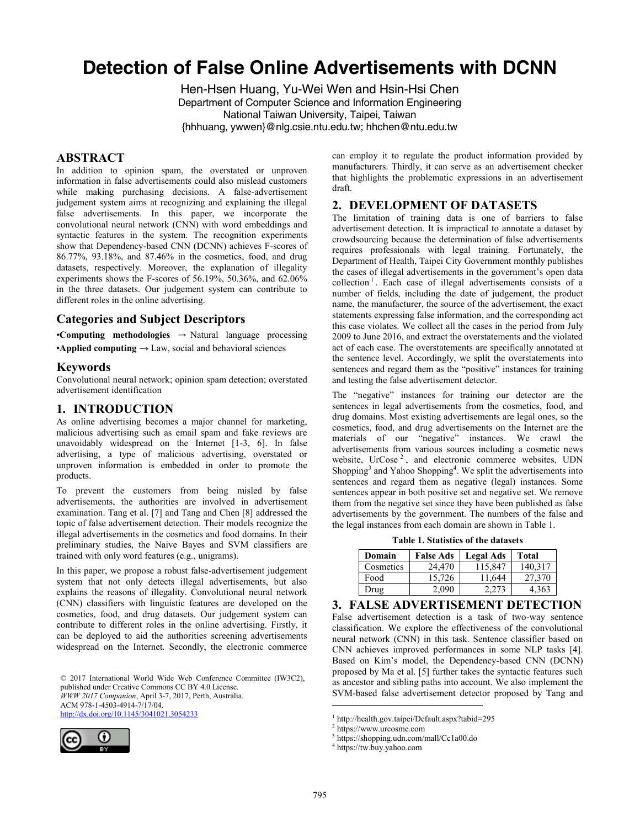# **Detection of False Online Advertisements with DCNN**

Hen-Hsen Huang, Yu-Wei Wen and Hsin-Hsi Chen Department of Computer Science and Information Engineering National Taiwan University, Taipei, Taiwan {hhhuang, ywwen}@nlg.csie.ntu.edu.tw; hhchen@ntu.edu.tw

#### **ABSTRACT**

In addition to opinion spam, the overstated or unproven information in false advertisements could also mislead customers while making purchasing decisions. A false-advertisement judgement system aims at recognizing and explaining the illegal false advertisements. In this paper, we incorporate the convolutional neural network (CNN) with word embeddings and syntactic features in the system. The recognition experiments show that Dependency-based CNN (DCNN) achieves F-scores of 86.77%, 93.18%, and 87.46% in the cosmetics, food, and drug datasets, respectively. Moreover, the explanation of illegality experiments shows the F-scores of 56.19%, 50.36%, and 62.06% in the three datasets. Our judgement system can contribute to different roles in the online advertising.

# **Categories and Subject Descriptors**

•**Computing methodologies** → Natural language processing •**Applied computing**  $\rightarrow$  Law, social and behavioral sciences

#### **Keywords**

Convolutional neural network; opinion spam detection; overstated advertisement identification

# **1. INTRODUCTION**

As online advertising becomes a major channel for marketing, malicious advertising such as email spam and fake reviews are unavoidably widespread on the Internet [1-3, 6]. In false advertising, a type of malicious advertising, overstated or unproven information is embedded in order to promote the products.

To prevent the customers from being misled by false advertisements, the authorities are involved in advertisement examination. Tang et al. [7] and Tang and Chen [8] addressed the topic of false advertisement detection. Their models recognize the illegal advertisements in the cosmetics and food domains. In their preliminary studies, the Naive Bayes and SVM classifiers are trained with only word features (e.g., unigrams).

In this paper, we propose a robust false-advertisement judgement system that not only detects illegal advertisements, but also explains the reasons of illegality. Convolutional neural network (CNN) classifiers with linguistic features are developed on the cosmetics, food, and drug datasets. Our judgement system can contribute to different roles in the online advertising. Firstly, it can be deployed to aid the authorities screening advertisements widespread on the Internet. Secondly, the electronic commerce

© 2017 International World Wide Web Conference Committee (IW3C2), published under Creative Commons CC BY 4.0 License. *WWW 2017 Companion*, April 3-7, 2017, Perth, Australia. ACM 978-1-4503-4914-7/17/04. <http://dx.doi.org/10.1145/3041021.3054233>



can employ it to regulate the product information provided by manufacturers. Thirdly, it can serve as an advertisement checker that highlights the problematic expressions in an advertisement draft.

#### **2. DEVELOPMENT OF DATASETS**

The limitation of training data is one of barriers to false advertisement detection. It is impractical to annotate a dataset by crowdsourcing because the determination of false advertisements requires professionals with legal training. Fortunately, the Department of Health, Taipei City Government monthly publishes the cases of illegal advertisements in the government's open data collection<sup>1</sup>. Each case of illegal advertisements consists of a number of fields, including the date of judgement, the product name, the manufacturer, the source of the advertisement, the exact statements expressing false information, and the corresponding act this case violates. We collect all the cases in the period from July 2009 to June 2016, and extract the overstatements and the violated act of each case. The overstatements are specifically annotated at the sentence level. Accordingly, we split the overstatements into sentences and regard them as the "positive" instances for training and testing the false advertisement detector.

The "negative" instances for training our detector are the sentences in legal advertisements from the cosmetics, food, and drug domains. Most existing advertisements are legal ones, so the cosmetics, food, and drug advertisements on the Internet are the materials of our "negative" instances. We crawl the advertisements from various sources including a cosmetic news website, UrCose<sup>2</sup>, and electronic commerce websites, UDN Shopping<sup>3</sup> and Yahoo Shopping<sup>4</sup>. We split the advertisements into sentences and regard them as negative (legal) instances. Some sentences appear in both positive set and negative set. We remove them from the negative set since they have been published as false advertisements by the government. The numbers of the false and the legal instances from each domain are shown in Table 1.

**Table 1. Statistics of the datasets** 

| Domain    | <b>False Ads</b> | <b>Legal Ads</b> | <b>Total</b> |
|-----------|------------------|------------------|--------------|
| Cosmetics | 24,470           | 115,847          | 140,317      |
| Food      | 15.726           | 11,644           | 27,370       |
| Drug      | 2,090            | 2.273            | 4.363        |

#### **3. FALSE ADVERTISEMENT DETECTION**

False advertisement detection is a task of two-way sentence classification. We explore the effectiveness of the convolutional neural network (CNN) in this task. Sentence classifier based on CNN achieves improved performances in some NLP tasks [4]. Based on Kim's model, the Dependency-based CNN (DCNN) proposed by Ma et al. [5] further takes the syntactic features such as ancestor and sibling paths into account. We also implement the SVM-based false advertisement detector proposed by Tang and

 $\overline{a}$ 

<sup>1</sup> http://health.gov.taipei/Default.aspx?tabid=295

<sup>2</sup> https://www.urcosme.com

<sup>3</sup> https://shopping.udn.com/mall/Cc1a00.do

<sup>4</sup> https://tw.buy.yahoo.com